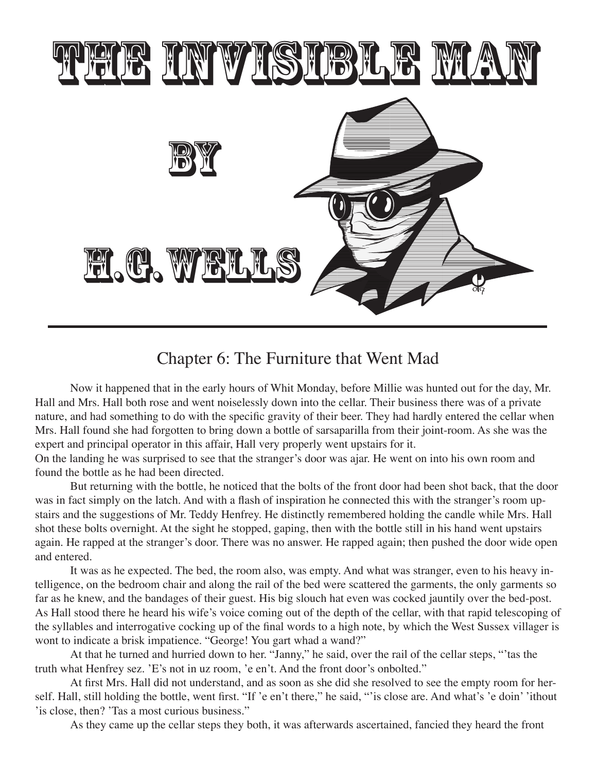

## Chapter 6: The Furniture that Went Mad

Now it happened that in the early hours of Whit Monday, before Millie was hunted out for the day, Mr. Hall and Mrs. Hall both rose and went noiselessly down into the cellar. Their business there was of a private nature, and had something to do with the specific gravity of their beer. They had hardly entered the cellar when Mrs. Hall found she had forgotten to bring down a bottle of sarsaparilla from their joint-room. As she was the expert and principal operator in this affair, Hall very properly went upstairs for it.

On the landing he was surprised to see that the stranger's door was ajar. He went on into his own room and found the bottle as he had been directed.

But returning with the bottle, he noticed that the bolts of the front door had been shot back, that the door was in fact simply on the latch. And with a flash of inspiration he connected this with the stranger's room upstairs and the suggestions of Mr. Teddy Henfrey. He distinctly remembered holding the candle while Mrs. Hall shot these bolts overnight. At the sight he stopped, gaping, then with the bottle still in his hand went upstairs again. He rapped at the stranger's door. There was no answer. He rapped again; then pushed the door wide open and entered.

It was as he expected. The bed, the room also, was empty. And what was stranger, even to his heavy intelligence, on the bedroom chair and along the rail of the bed were scattered the garments, the only garments so far as he knew, and the bandages of their guest. His big slouch hat even was cocked jauntily over the bed-post. As Hall stood there he heard his wife's voice coming out of the depth of the cellar, with that rapid telescoping of the syllables and interrogative cocking up of the final words to a high note, by which the West Sussex villager is wont to indicate a brisk impatience. "George! You gart whad a wand?"

At that he turned and hurried down to her. "Janny," he said, over the rail of the cellar steps, "'tas the truth what Henfrey sez. 'E's not in uz room, 'e en't. And the front door's onbolted."

At first Mrs. Hall did not understand, and as soon as she did she resolved to see the empty room for herself. Hall, still holding the bottle, went first. "If 'e en't there," he said, "'is close are. And what's 'e doin' 'ithout 'is close, then? 'Tas a most curious business."

As they came up the cellar steps they both, it was afterwards ascertained, fancied they heard the front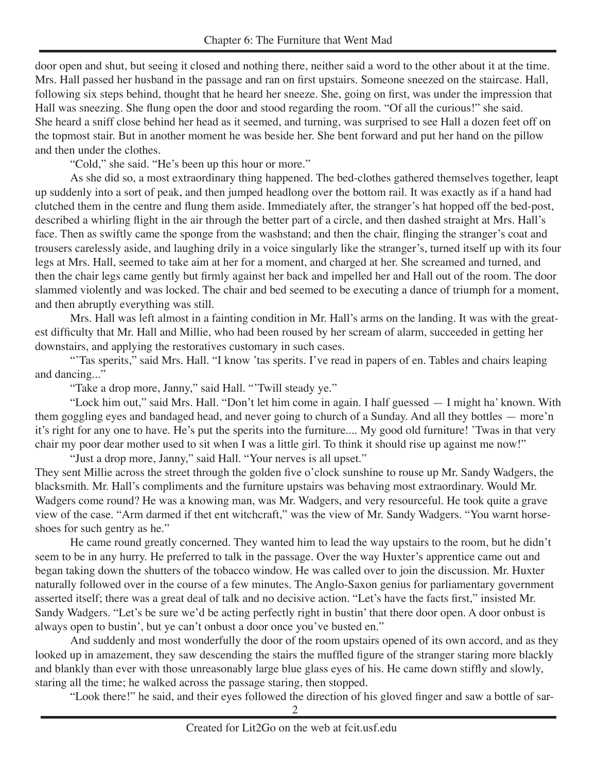door open and shut, but seeing it closed and nothing there, neither said a word to the other about it at the time. Mrs. Hall passed her husband in the passage and ran on first upstairs. Someone sneezed on the staircase. Hall, following six steps behind, thought that he heard her sneeze. She, going on first, was under the impression that Hall was sneezing. She flung open the door and stood regarding the room. "Of all the curious!" she said. She heard a sniff close behind her head as it seemed, and turning, was surprised to see Hall a dozen feet off on the topmost stair. But in another moment he was beside her. She bent forward and put her hand on the pillow and then under the clothes.

"Cold," she said. "He's been up this hour or more."

As she did so, a most extraordinary thing happened. The bed-clothes gathered themselves together, leapt up suddenly into a sort of peak, and then jumped headlong over the bottom rail. It was exactly as if a hand had clutched them in the centre and flung them aside. Immediately after, the stranger's hat hopped off the bed-post, described a whirling flight in the air through the better part of a circle, and then dashed straight at Mrs. Hall's face. Then as swiftly came the sponge from the washstand; and then the chair, flinging the stranger's coat and trousers carelessly aside, and laughing drily in a voice singularly like the stranger's, turned itself up with its four legs at Mrs. Hall, seemed to take aim at her for a moment, and charged at her. She screamed and turned, and then the chair legs came gently but firmly against her back and impelled her and Hall out of the room. The door slammed violently and was locked. The chair and bed seemed to be executing a dance of triumph for a moment, and then abruptly everything was still.

Mrs. Hall was left almost in a fainting condition in Mr. Hall's arms on the landing. It was with the greatest difficulty that Mr. Hall and Millie, who had been roused by her scream of alarm, succeeded in getting her downstairs, and applying the restoratives customary in such cases.

"Tas sperits," said Mrs. Hall. "I know 'tas sperits. I've read in papers of en. Tables and chairs leaping and dancing..."

"Take a drop more, Janny," said Hall. "'Twill steady ye."

"Lock him out," said Mrs. Hall. "Don't let him come in again. I half guessed — I might ha' known. With them goggling eyes and bandaged head, and never going to church of a Sunday. And all they bottles — more'n it's right for any one to have. He's put the sperits into the furniture.... My good old furniture! 'Twas in that very chair my poor dear mother used to sit when I was a little girl. To think it should rise up against me now!" "Just a drop more, Janny," said Hall. "Your nerves is all upset."

They sent Millie across the street through the golden five o'clock sunshine to rouse up Mr. Sandy Wadgers, the blacksmith. Mr. Hall's compliments and the furniture upstairs was behaving most extraordinary. Would Mr. Wadgers come round? He was a knowing man, was Mr. Wadgers, and very resourceful. He took quite a grave view of the case. "Arm darmed if thet ent witchcraft," was the view of Mr. Sandy Wadgers. "You warnt horseshoes for such gentry as he."

He came round greatly concerned. They wanted him to lead the way upstairs to the room, but he didn't seem to be in any hurry. He preferred to talk in the passage. Over the way Huxter's apprentice came out and began taking down the shutters of the tobacco window. He was called over to join the discussion. Mr. Huxter naturally followed over in the course of a few minutes. The Anglo-Saxon genius for parliamentary government asserted itself; there was a great deal of talk and no decisive action. "Let's have the facts first," insisted Mr. Sandy Wadgers. "Let's be sure we'd be acting perfectly right in bustin' that there door open. A door onbust is always open to bustin', but ye can't onbust a door once you've busted en."

And suddenly and most wonderfully the door of the room upstairs opened of its own accord, and as they looked up in amazement, they saw descending the stairs the muffled figure of the stranger staring more blackly and blankly than ever with those unreasonably large blue glass eyes of his. He came down stiffly and slowly, staring all the time; he walked across the passage staring, then stopped.

"Look there!" he said, and their eyes followed the direction of his gloved finger and saw a bottle of sar-

 $\overline{2}$